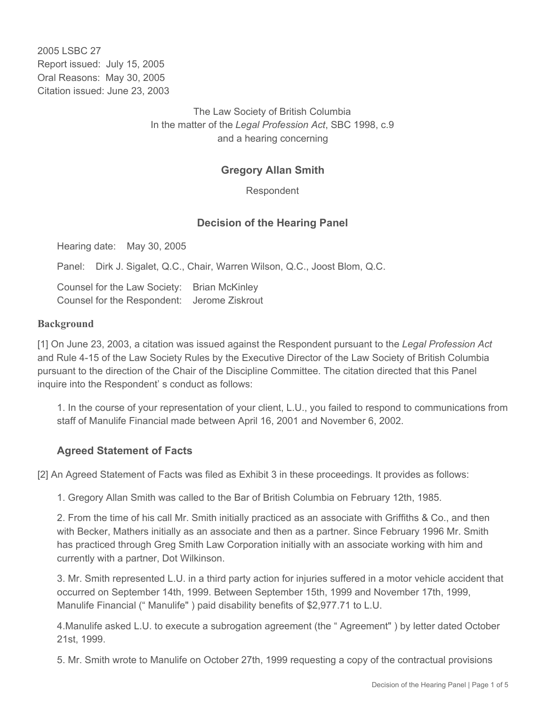2005 LSBC 27 Report issued: July 15, 2005 Oral Reasons: May 30, 2005 Citation issued: June 23, 2003

> The Law Society of British Columbia In the matter of the *Legal Profession Act*, SBC 1998, c.9 and a hearing concerning

### **Gregory Allan Smith**

Respondent

#### **Decision of the Hearing Panel**

Hearing date: May 30, 2005

Panel: Dirk J. Sigalet, Q.C., Chair, Warren Wilson, Q.C., Joost Blom, Q.C.

Counsel for the Law Society: Brian McKinley Counsel for the Respondent: Jerome Ziskrout

#### **Background**

[1] On June 23, 2003, a citation was issued against the Respondent pursuant to the *Legal Profession Act* and Rule 4-15 of the Law Society Rules by the Executive Director of the Law Society of British Columbia pursuant to the direction of the Chair of the Discipline Committee. The citation directed that this Panel inquire into the Respondent' s conduct as follows:

1. In the course of your representation of your client, L.U., you failed to respond to communications from staff of Manulife Financial made between April 16, 2001 and November 6, 2002.

#### **Agreed Statement of Facts**

[2] An Agreed Statement of Facts was filed as Exhibit 3 in these proceedings. It provides as follows:

1. Gregory Allan Smith was called to the Bar of British Columbia on February 12th, 1985.

2. From the time of his call Mr. Smith initially practiced as an associate with Griffiths & Co., and then with Becker, Mathers initially as an associate and then as a partner. Since February 1996 Mr. Smith has practiced through Greg Smith Law Corporation initially with an associate working with him and currently with a partner, Dot Wilkinson.

3. Mr. Smith represented L.U. in a third party action for injuries suffered in a motor vehicle accident that occurred on September 14th, 1999. Between September 15th, 1999 and November 17th, 1999, Manulife Financial (" Manulife" ) paid disability benefits of \$2,977.71 to L.U.

4.Manulife asked L.U. to execute a subrogation agreement (the " Agreement" ) by letter dated October 21st, 1999.

5. Mr. Smith wrote to Manulife on October 27th, 1999 requesting a copy of the contractual provisions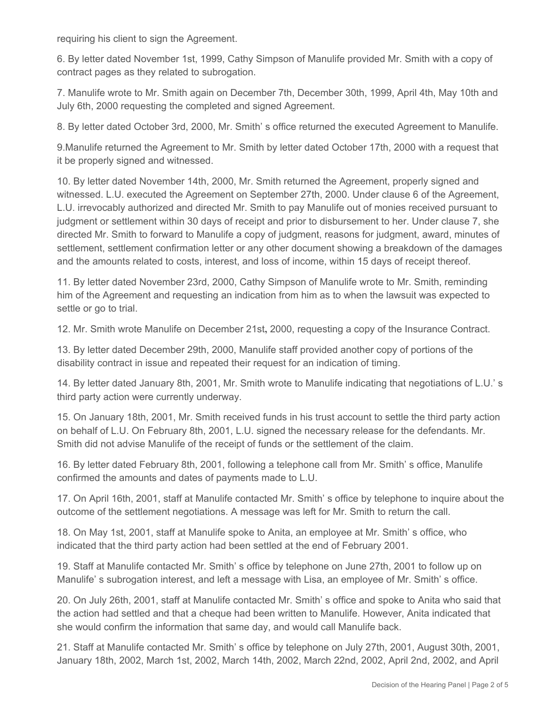requiring his client to sign the Agreement.

6. By letter dated November 1st, 1999, Cathy Simpson of Manulife provided Mr. Smith with a copy of contract pages as they related to subrogation.

7. Manulife wrote to Mr. Smith again on December 7th, December 30th, 1999, April 4th, May 10th and July 6th, 2000 requesting the completed and signed Agreement.

8. By letter dated October 3rd, 2000, Mr. Smith' s office returned the executed Agreement to Manulife.

9.Manulife returned the Agreement to Mr. Smith by letter dated October 17th, 2000 with a request that it be properly signed and witnessed.

10. By letter dated November 14th, 2000, Mr. Smith returned the Agreement, properly signed and witnessed. L.U. executed the Agreement on September 27th, 2000. Under clause 6 of the Agreement, L.U. irrevocably authorized and directed Mr. Smith to pay Manulife out of monies received pursuant to judgment or settlement within 30 days of receipt and prior to disbursement to her. Under clause 7, she directed Mr. Smith to forward to Manulife a copy of judgment, reasons for judgment, award, minutes of settlement, settlement confirmation letter or any other document showing a breakdown of the damages and the amounts related to costs, interest, and loss of income, within 15 days of receipt thereof.

11. By letter dated November 23rd, 2000, Cathy Simpson of Manulife wrote to Mr. Smith, reminding him of the Agreement and requesting an indication from him as to when the lawsuit was expected to settle or go to trial.

12. Mr. Smith wrote Manulife on December 21st**,** 2000, requesting a copy of the Insurance Contract.

13. By letter dated December 29th, 2000, Manulife staff provided another copy of portions of the disability contract in issue and repeated their request for an indication of timing.

14. By letter dated January 8th, 2001, Mr. Smith wrote to Manulife indicating that negotiations of L.U.' s third party action were currently underway.

15. On January 18th, 2001, Mr. Smith received funds in his trust account to settle the third party action on behalf of L.U. On February 8th, 2001, L.U. signed the necessary release for the defendants. Mr. Smith did not advise Manulife of the receipt of funds or the settlement of the claim.

16. By letter dated February 8th, 2001, following a telephone call from Mr. Smith' s office, Manulife confirmed the amounts and dates of payments made to L.U.

17. On April 16th, 2001, staff at Manulife contacted Mr. Smith' s office by telephone to inquire about the outcome of the settlement negotiations. A message was left for Mr. Smith to return the call.

18. On May 1st, 2001, staff at Manulife spoke to Anita, an employee at Mr. Smith' s office, who indicated that the third party action had been settled at the end of February 2001.

19. Staff at Manulife contacted Mr. Smith' s office by telephone on June 27th, 2001 to follow up on Manulife' s subrogation interest, and left a message with Lisa, an employee of Mr. Smith' s office.

20. On July 26th, 2001, staff at Manulife contacted Mr. Smith' s office and spoke to Anita who said that the action had settled and that a cheque had been written to Manulife. However, Anita indicated that she would confirm the information that same day, and would call Manulife back.

21. Staff at Manulife contacted Mr. Smith' s office by telephone on July 27th, 2001, August 30th, 2001, January 18th, 2002, March 1st, 2002, March 14th, 2002, March 22nd, 2002, April 2nd, 2002, and April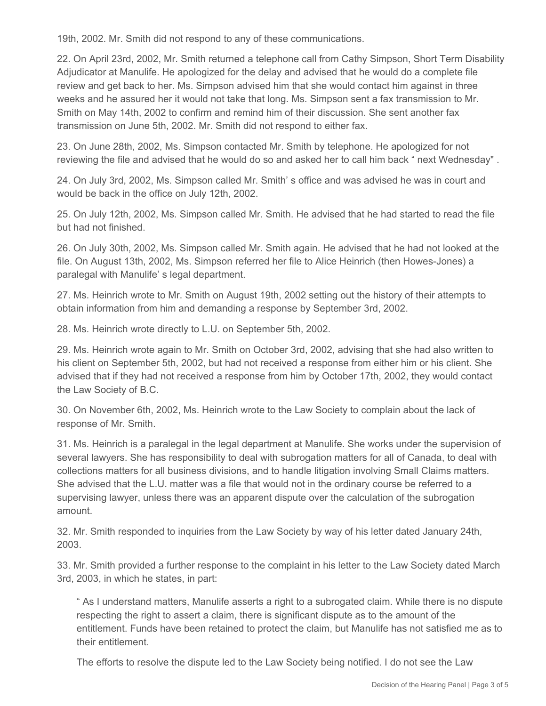19th, 2002. Mr. Smith did not respond to any of these communications.

22. On April 23rd, 2002, Mr. Smith returned a telephone call from Cathy Simpson, Short Term Disability Adjudicator at Manulife. He apologized for the delay and advised that he would do a complete file review and get back to her. Ms. Simpson advised him that she would contact him against in three weeks and he assured her it would not take that long. Ms. Simpson sent a fax transmission to Mr. Smith on May 14th, 2002 to confirm and remind him of their discussion. She sent another fax transmission on June 5th, 2002. Mr. Smith did not respond to either fax.

23. On June 28th, 2002, Ms. Simpson contacted Mr. Smith by telephone. He apologized for not reviewing the file and advised that he would do so and asked her to call him back " next Wednesday" .

24. On July 3rd, 2002, Ms. Simpson called Mr. Smith' s office and was advised he was in court and would be back in the office on July 12th, 2002.

25. On July 12th, 2002, Ms. Simpson called Mr. Smith. He advised that he had started to read the file but had not finished.

26. On July 30th, 2002, Ms. Simpson called Mr. Smith again. He advised that he had not looked at the file. On August 13th, 2002, Ms. Simpson referred her file to Alice Heinrich (then Howes-Jones) a paralegal with Manulife' s legal department.

27. Ms. Heinrich wrote to Mr. Smith on August 19th, 2002 setting out the history of their attempts to obtain information from him and demanding a response by September 3rd, 2002.

28. Ms. Heinrich wrote directly to L.U. on September 5th, 2002.

29. Ms. Heinrich wrote again to Mr. Smith on October 3rd, 2002, advising that she had also written to his client on September 5th, 2002, but had not received a response from either him or his client. She advised that if they had not received a response from him by October 17th, 2002, they would contact the Law Society of B.C.

30. On November 6th, 2002, Ms. Heinrich wrote to the Law Society to complain about the lack of response of Mr. Smith.

31. Ms. Heinrich is a paralegal in the legal department at Manulife. She works under the supervision of several lawyers. She has responsibility to deal with subrogation matters for all of Canada, to deal with collections matters for all business divisions, and to handle litigation involving Small Claims matters. She advised that the L.U. matter was a file that would not in the ordinary course be referred to a supervising lawyer, unless there was an apparent dispute over the calculation of the subrogation amount.

32. Mr. Smith responded to inquiries from the Law Society by way of his letter dated January 24th, 2003.

33. Mr. Smith provided a further response to the complaint in his letter to the Law Society dated March 3rd, 2003, in which he states, in part:

" As I understand matters, Manulife asserts a right to a subrogated claim. While there is no dispute respecting the right to assert a claim, there is significant dispute as to the amount of the entitlement. Funds have been retained to protect the claim, but Manulife has not satisfied me as to their entitlement.

The efforts to resolve the dispute led to the Law Society being notified. I do not see the Law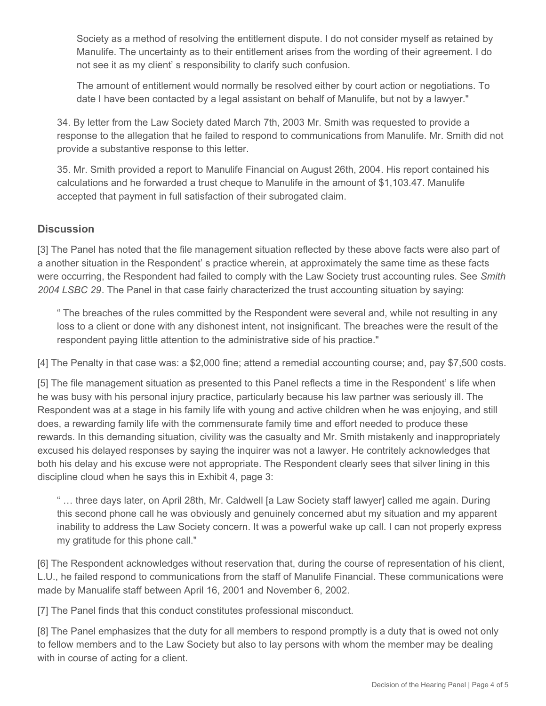Society as a method of resolving the entitlement dispute. I do not consider myself as retained by Manulife. The uncertainty as to their entitlement arises from the wording of their agreement. I do not see it as my client' s responsibility to clarify such confusion.

The amount of entitlement would normally be resolved either by court action or negotiations. To date I have been contacted by a legal assistant on behalf of Manulife, but not by a lawyer."

34. By letter from the Law Society dated March 7th, 2003 Mr. Smith was requested to provide a response to the allegation that he failed to respond to communications from Manulife. Mr. Smith did not provide a substantive response to this letter.

35. Mr. Smith provided a report to Manulife Financial on August 26th, 2004. His report contained his calculations and he forwarded a trust cheque to Manulife in the amount of \$1,103.47. Manulife accepted that payment in full satisfaction of their subrogated claim.

## **Discussion**

[3] The Panel has noted that the file management situation reflected by these above facts were also part of a another situation in the Respondent' s practice wherein, at approximately the same time as these facts were occurring, the Respondent had failed to comply with the Law Society trust accounting rules. See *Smith 2004 LSBC 29*. The Panel in that case fairly characterized the trust accounting situation by saying:

" The breaches of the rules committed by the Respondent were several and, while not resulting in any loss to a client or done with any dishonest intent, not insignificant. The breaches were the result of the respondent paying little attention to the administrative side of his practice."

[4] The Penalty in that case was: a \$2,000 fine; attend a remedial accounting course; and, pay \$7,500 costs.

[5] The file management situation as presented to this Panel reflects a time in the Respondent' s life when he was busy with his personal injury practice, particularly because his law partner was seriously ill. The Respondent was at a stage in his family life with young and active children when he was enjoying, and still does, a rewarding family life with the commensurate family time and effort needed to produce these rewards. In this demanding situation, civility was the casualty and Mr. Smith mistakenly and inappropriately excused his delayed responses by saying the inquirer was not a lawyer. He contritely acknowledges that both his delay and his excuse were not appropriate. The Respondent clearly sees that silver lining in this discipline cloud when he says this in Exhibit 4, page 3:

" … three days later, on April 28th, Mr. Caldwell [a Law Society staff lawyer] called me again. During this second phone call he was obviously and genuinely concerned abut my situation and my apparent inability to address the Law Society concern. It was a powerful wake up call. I can not properly express my gratitude for this phone call."

[6] The Respondent acknowledges without reservation that, during the course of representation of his client, L.U., he failed respond to communications from the staff of Manulife Financial. These communications were made by Manualife staff between April 16, 2001 and November 6, 2002.

[7] The Panel finds that this conduct constitutes professional misconduct.

[8] The Panel emphasizes that the duty for all members to respond promptly is a duty that is owed not only to fellow members and to the Law Society but also to lay persons with whom the member may be dealing with in course of acting for a client.